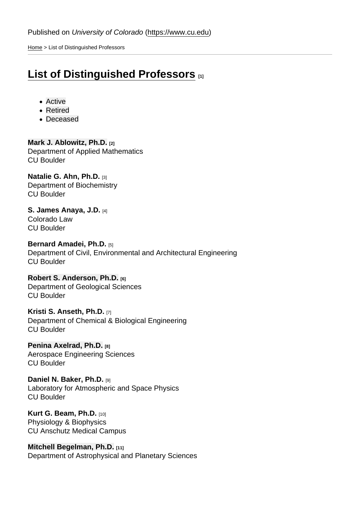[Home](https://www.cu.edu/) > List of Distinguished Professors

## [List of Distinguished Professors](https://www.cu.edu/oaa/list-distinguished-professors) [1]

- Active
- Retired
- Deceased

[Mark J. Ablowitz, Ph.D.](https://www.colorado.edu/amath/mark-j-ablowitz) [2] Department of Applied Mathematics CU Boulder

[Natalie G. Ahn, Ph.D.](https://www.colorado.edu/biochemistry/natalie-ahn) [3] Department of Biochemistry CU Boulder

[S. James Anaya, J.D.](https://lawweb.colorado.edu/profiles/profile.jsp?id=729) [4] Colorado Law CU Boulder

[Bernard Amadei, Ph.D.](https://www.colorado.edu/ceae/bernard-amadei) [5] Department of Civil, Environmental and Architectural Engineering CU Boulder

[Robert S. Anderson, Ph.D.](https://instaar.colorado.edu/people/robert-s-anderson/) [6] Department of Geological Sciences CU Boulder

[Kristi S. Anseth, Ph.D.](https://www.colorado.edu/chbe/kristi-s-anseth) [7] Department of Chemical & Biological Engineering CU Boulder

[Penina Axelrad, Ph.D.](https://www.colorado.edu/aerospace/penina-axelrad) [8] Aerospace Engineering Sciences CU Boulder

[Daniel N. Baker, Ph.D.](http://lasp.colorado.edu/~bakerd/) [9] Laboratory for Atmospheric and Space Physics CU Boulder

[Kurt G. Beam, Ph.D.](https://medschool.cuanschutz.edu/physiology/faculty/kurt-beam-phd) [10] Physiology & Biophysics CU Anschutz Medical Campus

[Mitchell Begelman, Ph.D.](https://www.colorado.edu/aps/mitchell-begelman) [11] Department of Astrophysical and Planetary Sciences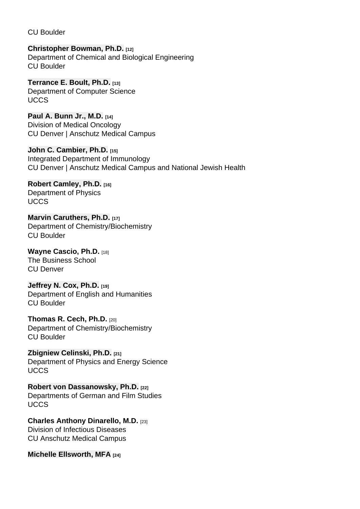CU Boulder

[Christopher Bowman, Ph.D.](https://www.colorado.edu/chbe/christopher-n-bowman) [12] Department of Chemical and Biological Engineering CU Boulder

[Terrance E. Boult, Ph.D.](https://eas.uccs.edu/cs/about/faculty/terrance-boult) [13] Department of Computer Science **UCCS** 

[Paul A. Bunn Jr., M.D.](https://www.cudoctors.com/Find_A_Doctor/Profile/993) [14] Division of Medical Oncology CU Denver | Anschutz Medical Campus

[John C. Cambier, Ph.D.](http://www.ucdenver.edu/academics/colleges/medicalschool/departments/ImmunologyMicrobiology/faculty/departmental/Pages/CAMBIER.aspx) [15] Integrated Department of Immunology CU Denver | Anschutz Medical Campus and National Jewish Health

[Robert Camley, Ph.D.](http://www.uccs.edu/biofrontiers/who-we-are/faculty-and-staff/robert-camley.html) [16] Department of Physics **UCCS** 

[Marvin Caruthers, Ph.D.](https://www.colorado.edu/chembio/marvin-h-caruthers) [17] Department of Chemistry/Biochemistry CU Boulder

[Wayne Cascio, Ph.D.](https://business.ucdenver.edu/about/our-people/wayne-cascio) [18] The Business School CU Denver

[Jeffrey N. Cox, Ph.D.](https://www.colorado.edu/english/jeffrey-cox) [19] Department of English and Humanities CU Boulder

[Thomas R. Cech, Ph.D.](https://www.colorado.edu/lab/cech/thomas-r-cech) [20] Department of Chemistry/Biochemistry CU Boulder

[Zbigniew Celinski, Ph.D.](https://www.uccs.edu/physics/faculty-staff/zbigniew_celinski) [21] Department of Physics and Energy Science **UCCS** 

[Robert von Dassanowsky, Ph.D.](https://vapa.uccs.edu/index/film/faculty/dassanowsky) [22] Departments of German and Film Studies **UCCS** 

[Charles Anthony Dinarello, M.D.](https://som.ucdenver.edu/Profiles/Faculty/Profile/314) [23] Division of Infectious Diseases CU Anschutz Medical Campus

[Michelle Ellsworth, MFA](https://www.colorado.edu/theatredance/michelle-ellsworth) [24]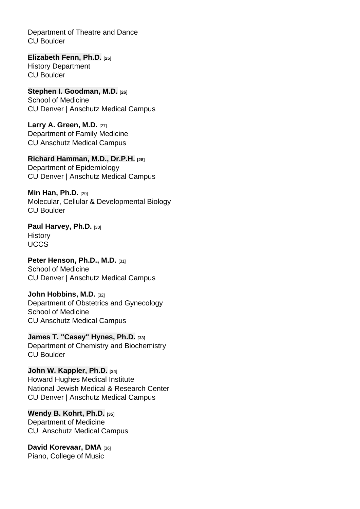Department of Theatre and Dance CU Boulder

[Elizabeth Fenn, Ph.D.](https://www.colorado.edu/history/elizabeth-fenn) [25] History Department CU Boulder

[Stephen I. Goodman, M.D.](https://profiles.ucdenver.edu/display/224197) [26] School of Medicine CU Denver | Anschutz Medical Campus

[Larry A. Green, M.D.](https://som.ucdenver.edu/Profiles/Faculty/Profile/8470) [27] Department of Family Medicine CU Anschutz Medical Campus

[Richard Hamman, M.D., Dr.P.H.](http://www.ucdenver.edu/academics/colleges/PublicHealth/Academics/departments/Epidemiology/About/Faculty/Pages/HammanR.aspx) [28] Department of Epidemiology CU Denver | Anschutz Medical Campus

[Min Han, Ph.D.](https://www.colorado.edu/mcdb/min-han)  $[29]$ Molecular, Cellular & Developmental Biology CU Boulder

[Paul Harvey, Ph.D.](https://www.uccs.edu/history/paul-harvey.html) [30] **History** UCCS

[Peter Henson, Ph.D., M.D.](http://www.ucdenver.edu/academics/colleges/medicalschool/departments/ImmunologyMicrobiology/faculty/departmental/Pages/HENSON.aspx) [31] School of Medicine CU Denver | Anschutz Medical Campus

[John Hobbins, M.D.](http://www.ucdenver.edu/academics/colleges/medicalschool/departments/obgyn/Alumnifriends/Pages/JohnCHobbins.aspx) [32] Department of Obstetrics and Gynecology School of Medicine CU Anschutz Medical Campus

[James T. "Casey" Hynes, Ph.D.](https://www.colorado.edu/chemistry/james-hynes) [33] Department of Chemistry and Biochemistry CU Boulder

[John W. Kappler, Ph.D.](https://www.nationaljewish.org/Providers/Researchers/John-W-Kappler) [34] Howard Hughes Medical Institute National Jewish Medical & Research Center CU Denver | Anschutz Medical Campus

[Wendy B. Kohrt, Ph.D.](https://medschool.cuanschutz.edu/center-for-womens-health-research/about-us/scientific-leadership/faculty-leadership/wendy-kohrt) [35] Department of Medicine CU Anschutz Medical Campus

[David Korevaar, DMA](https://www.colorado.edu/music/david-korevaar) [36] Piano, College of Music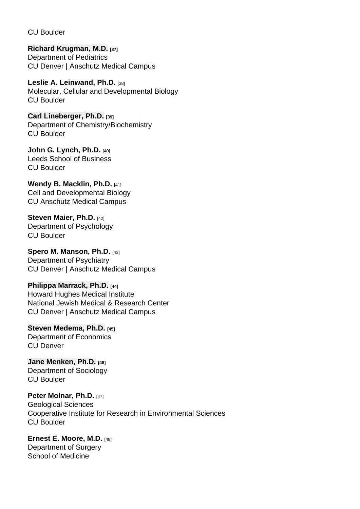CU Boulder

[Richard Krugman, M.D.](https://profiles.ucdenver.edu/display/230046) [37] Department of Pediatrics CU Denver | Anschutz Medical Campus

[Leslie A. Leinwand, Ph.D.](https://www.colorado.edu/biofrontiers/leslie-leinwand) [38] Molecular, Cellular and Developmental Biology CU Boulder

[Carl Lineberger, Ph.D.](https://www.colorado.edu/chemistry/carl-lineberger) [39] Department of Chemistry/Biochemistry CU Boulder

[John G. Lynch, Ph.D.](https://www.colorado.edu/business/john-g-lynch-jr) [40] Leeds School of Business CU Boulder

[Wendy B. Macklin, Ph.D.](http://www.ucdenver.edu/academics/colleges/medicalschool/departments/CellDevelopmentalBiology/facultyresearch/Pages/WendyMacklin.aspx) [41] Cell and Developmental Biology CU Anschutz Medical Campus

[Steven Maier, Ph.D.](https://www.colorado.edu/neuroscience/steven-f-maier) [42] Department of Psychology CU Boulder

[Spero M. Manson, Ph.D.](http://www.ucdenver.edu/academics/colleges/PublicHealth/Academics/departments/CommunityBehavioralHealth/About/Faculty/Pages/MansonS.aspx) [43] Department of Psychiatry CU Denver | Anschutz Medical Campus

[Philippa Marrack, Ph.D.](https://www.nationaljewish.org/doctors-departments/providers/researchers/philippa-marrack) [44] Howard Hughes Medical Institute National Jewish Medical & Research Center CU Denver | Anschutz Medical Campus

[Steven Medema, Ph.D.](https://clas.ucdenver.edu/economics/steven-medema) [45] Department of Economics CU Denver

[Jane Menken, Ph.D.](https://ibs.colorado.edu/pop/menken/) [46] Department of Sociology CU Boulder

[Peter Molnar, Ph.D.](https://www.colorado.edu/geologicalsciences/peter-molnar) [47] Geological Sciences Cooperative Institute for Research in Environmental Sciences CU Boulder

[Ernest E. Moore, M.D.](http://www.ucdenver.edu/academics/colleges/medicalschool/departments/surgery/divisions/GITES/Faculty-and-Staff/Pages/Moore.aspx) [48] Department of Surgery School of Medicine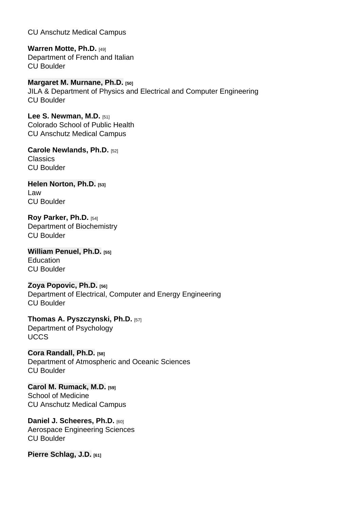CU Anschutz Medical Campus

[Warren Motte, Ph.D.](https://www.colorado.edu/frenchitalian/warren-motte) [49] Department of French and Italian CU Boulder

[Margaret M. Murnane, Ph.D.](http://jila.colorado.edu/kmgroup/bio/murnane) [50] JILA & Department of Physics and Electrical and Computer Engineering CU Boulder

[Lee S. Newman, M.D.](http://www.ucdenver.edu/academics/colleges/PublicHealth/Academics/departments/EnvironmentalOccupationalHealth/about/Faculty/Pages/NewmanL.aspx) [51] Colorado School of Public Health CU Anschutz Medical Campus

[Carole Newlands, Ph.D.](https://www.colorado.edu/classics/carole-newlands) [52] **Classics** CU Boulder

[Helen Norton, Ph.D.](https://www.colorado.edu/law/academics/public-service/public-service-faculty/helen-norton) [53] Law CU Boulder

[Roy Parker, Ph.D.](https://www.colorado.edu/biochemistry/roy-parker) [54] Department of Biochemistry CU Boulder

[William Penuel, Ph.D.](https://www.colorado.edu/education/william-penuel) [55] **Education** CU Boulder

[Zoya Popovic, Ph.D.](https://www.colorado.edu/ecee/zoya-popovic) [56] Department of Electrical, Computer and Energy Engineering CU Boulder

[Thomas A. Pyszczynski, Ph.D.](http://www.uccs.edu/psych/tom_pyszczynski.html) [57] Department of Psychology **UCCS** 

[Cora Randall, Ph.D.](https://www.colorado.edu/atoc/cora-randall-sheherhers) [58] Department of Atmospheric and Oceanic Sciences CU Boulder

[Carol M. Rumack, M.D.](https://medschool.cuanschutz.edu/graduate-medical-education/about-gme/contact/gme-staff/carol-m.-rumack-md-facr) [59] School of Medicine CU Anschutz Medical Campus

[Daniel J. Scheeres, Ph.D.](https://www.colorado.edu/ccar/daniel-scheeres) **[60]** Aerospace Engineering Sciences CU Boulder

[Pierre Schlag, J.D.](https://lawweb.colorado.edu/profiles/profile.jsp?id=49) [61]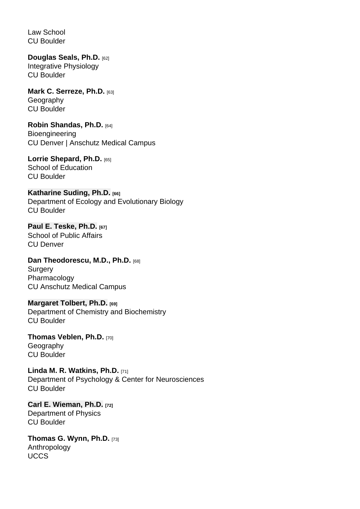Law School CU Boulder

[Douglas Seals, Ph.D.](https://www.colorado.edu/iphy/people/seals.html) [62] Integrative Physiology CU Boulder

[Mark C. Serreze, Ph.D.](https://www.colorado.edu/geography/mark-serreze-0) [63] **Geography** CU Boulder

[Robin Shandas, Ph.D.](https://engineering.ucdenver.edu/academics/departments/bioengineering/people/robin-shandas) [64] **Bioengineering** CU Denver | Anschutz Medical Campus

[Lorrie Shepard, Ph.D.](https://www.colorado.edu/education/lorrie-shepard) [65] School of Education CU Boulder

[Katharine Suding, Ph.D.](https://www.colorado.edu/ebio/katharine-suding) [66] Department of Ecology and Evolutionary Biology CU Boulder

[Paul E. Teske, Ph.D.](https://publicaffairs.ucdenver.edu/people/faculty-and-staff-directory/person-detail/paul-teske-ucd8384) [67] School of Public Affairs CU Denver

[Dan Theodorescu, M.D., Ph.D.](http://www.ucdenver.edu/academics/colleges/medicalschool/centers/cancercenter/AboutUs/Pages/Dan-Theodorescu-Profile.aspx) [68] **Surgery** Pharmacology CU Anschutz Medical Campus

[Margaret Tolbert, Ph.D.](http://cires.colorado.edu/research/research-groups/margaret-tolbert-group/) [69] Department of Chemistry and Biochemistry CU Boulder

[Thomas Veblen, Ph.D.](https://www.colorado.edu/geography/tom-veblen-0) [70] **Geography** CU Boulder

[Linda M. R. Watkins, Ph.D.](https://www.colorado.edu/psych-neuro/linda-watkins) [71] Department of Psychology & Center for Neurosciences CU Boulder

[Carl E. Wieman, Ph.D.](https://www.colorado.edu/physics/carl-wieman) [72] Department of Physics CU Boulder

[Thomas G. Wynn, Ph.D.](http://www.uccs.edu/anthro/thomas_wynn.html) [73] Anthropology UCCS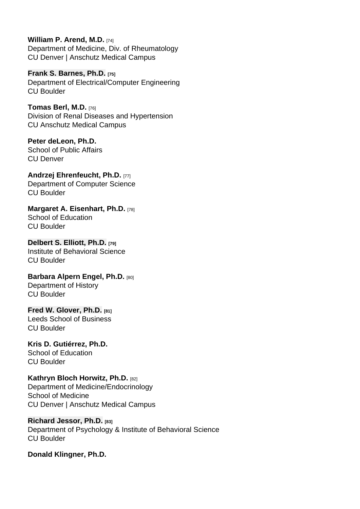[William P. Arend, M.D.](http://www.ucdenver.edu/academics/colleges/medicalschool/departments/medicine/Endowments/Pages/WilliamPArendEndowedChairinRheumatology.aspx) [74] Department of Medicine, Div. of Rheumatology CU Denver | Anschutz Medical Campus

[Frank S. Barnes, Ph.D.](https://www.colorado.edu/ecee/frank-barnes) [75] Department of Electrical/Computer Engineering CU Boulder

[Tomas Berl, M.D.](http://www.ucdenver.edu/academics/colleges/medicalschool/departments/medicine/renal/Pages/TomasBerl.aspx) [76] Division of Renal Diseases and Hypertension CU Anschutz Medical Campus

Peter deLeon, Ph.D. School of Public Affairs CU Denver

[Andrzej Ehrenfeucht, Ph.D.](https://www.colorado.edu/cs/andrzej-ehrenfeucht) [77] Department of Computer Science CU Boulder

[Margaret A. Eisenhart, Ph.D.](https://www.colorado.edu/education/margaret-eisenhart) [78] School of Education CU Boulder

[Delbert S. Elliott, Ph.D.](https://behavioralscience.colorado.edu/person/delbert-s-elliott) [79] Institute of Behavioral Science CU Boulder

[Barbara Alpern Engel, Ph.D.](https://www.colorado.edu/history/barbara-engel) [80] Department of History CU Boulder

[Fred W. Glover, Ph.D.](http://leeds-faculty.colorado.edu/glover/) [81] Leeds School of Business CU Boulder

Kris D. Gutiérrez, Ph.D. School of Education CU Boulder

[Kathryn Bloch Horwitz, Ph.D.](http://www.ucdenver.edu/academics/colleges/medicalschool/departments/medicine/EndocrinologyMetabolismDiabetes/faculty_staff/Pages/Horwitz.aspx) [82] Department of Medicine/Endocrinology School of Medicine CU Denver | Anschutz Medical Campus

[Richard Jessor, Ph.D.](https://behavioralscience.colorado.edu/person/richard-jessor) [83] Department of Psychology & Institute of Behavioral Science CU Boulder

Donald Klingner, Ph.D.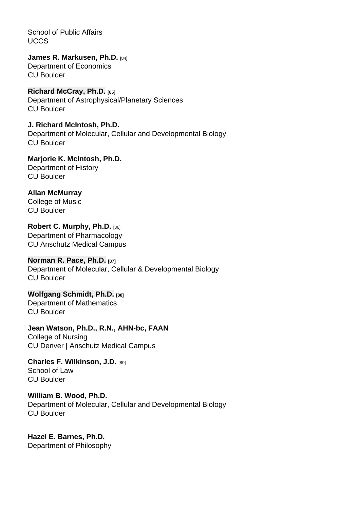School of Public Affairs **UCCS** 

[James R. Markusen, Ph.D.](https://spot.colorado.edu/~markusen/) [84] Department of Economics CU Boulder

[Richard McCray, Ph.D.](http://jila.colorado.edu/~dick/) [85] Department of Astrophysical/Planetary Sciences CU Boulder

J. Richard McIntosh, Ph.D. Department of Molecular, Cellular and Developmental Biology CU Boulder

Marjorie K. McIntosh, Ph.D. Department of History CU Boulder

Allan McMurray College of Music CU Boulder

[Robert C. Murphy, Ph.D.](http://www.ucdenver.edu/academics/colleges/medicalschool/departments/Pharmacology/faculty/Pages/murphy.aspx) [86] Department of Pharmacology CU Anschutz Medical Campus

[Norman R. Pace, Ph.D.](http://pacelab.colorado.edu/PI_NormPace.html) [87] Department of Molecular, Cellular & Developmental Biology CU Boulder

[Wolfgang Schmidt, Ph.D.](https://www.colorado.edu/math/wolfgang-schmidt) [88] Department of Mathematics CU Boulder

Jean Watson, Ph.D., R.N., AHN-bc, FAAN College of Nursing CU Denver | Anschutz Medical Campus

[Charles F. Wilkinson, J.D.](https://lawweb.colorado.edu/profiles/profile.jsp?id=65) [89] School of Law CU Boulder

William B. Wood, Ph.D. Department of Molecular, Cellular and Developmental Biology CU Boulder

Hazel E. Barnes, Ph.D. Department of Philosophy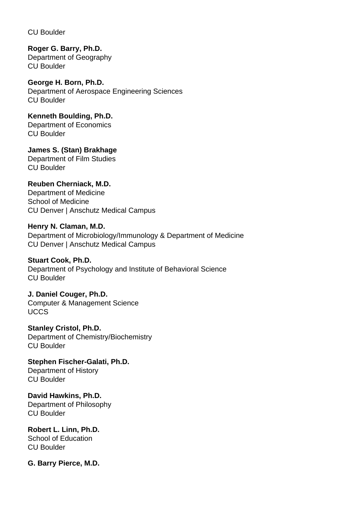CU Boulder

**Roger G. Barry, Ph.D.** Department of Geography CU Boulder

**George H. Born, Ph.D.** Department of Aerospace Engineering Sciences CU Boulder

**Kenneth Boulding, Ph.D.** Department of Economics CU Boulder

**James S. (Stan) Brakhage** Department of Film Studies CU Boulder

**Reuben Cherniack, M.D.** Department of Medicine School of Medicine CU Denver | Anschutz Medical Campus

**Henry N. Claman, M.D.** Department of Microbiology/Immunology & Department of Medicine CU Denver | Anschutz Medical Campus

**Stuart Cook, Ph.D.** Department of Psychology and Institute of Behavioral Science CU Boulder

**J. Daniel Couger, Ph.D.** Computer & Management Science **UCCS** 

**Stanley Cristol, Ph.D.** Department of Chemistry/Biochemistry CU Boulder

**Stephen Fischer-Galati, Ph.D.** Department of History CU Boulder

**David Hawkins, Ph.D.** Department of Philosophy CU Boulder

**Robert L. Linn, Ph.D.** School of Education CU Boulder

**G. Barry Pierce, M.D.**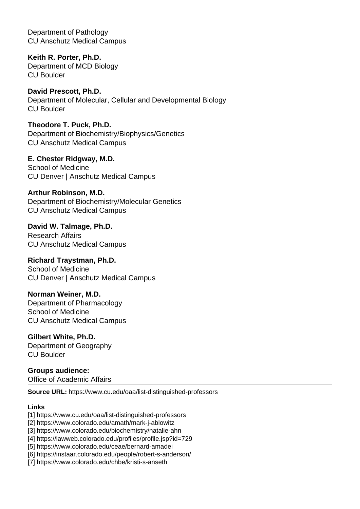Department of Pathology CU Anschutz Medical Campus

**Keith R. Porter, Ph.D.** Department of MCD Biology CU Boulder

**David Prescott, Ph.D.** Department of Molecular, Cellular and Developmental Biology CU Boulder

**Theodore T. Puck, Ph.D.** Department of Biochemistry/Biophysics/Genetics CU Anschutz Medical Campus

**E. Chester Ridgway, M.D.** School of Medicine CU Denver | Anschutz Medical Campus

**Arthur Robinson, M.D.** Department of Biochemistry/Molecular Genetics CU Anschutz Medical Campus

**David W. Talmage, Ph.D.** Research Affairs CU Anschutz Medical Campus

**Richard Traystman, Ph.D.** School of Medicine CU Denver | Anschutz Medical Campus

**Norman Weiner, M.D.** Department of Pharmacology School of Medicine CU Anschutz Medical Campus

**Gilbert White, Ph.D.** Department of Geography CU Boulder

**Groups audience:** 

Office of Academic Affairs

**Source URL:** https://www.cu.edu/oaa/list-distinguished-professors

## **Links**

- [1] https://www.cu.edu/oaa/list-distinguished-professors
- [2] https://www.colorado.edu/amath/mark-j-ablowitz

[3] https://www.colorado.edu/biochemistry/natalie-ahn

[4] https://lawweb.colorado.edu/profiles/profile.jsp?id=729

[5] https://www.colorado.edu/ceae/bernard-amadei

[6] https://instaar.colorado.edu/people/robert-s-anderson/

[7] https://www.colorado.edu/chbe/kristi-s-anseth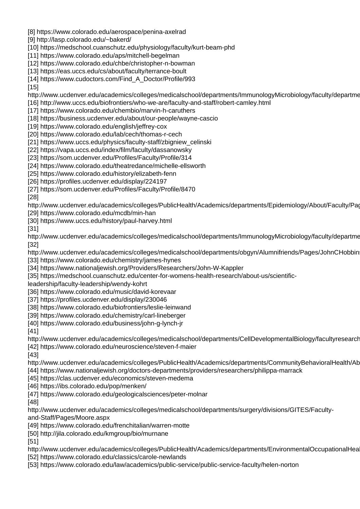- [8] https://www.colorado.edu/aerospace/penina-axelrad
- [9] http://lasp.colorado.edu/~bakerd/
- [10] https://medschool.cuanschutz.edu/physiology/faculty/kurt-beam-phd
- [11] https://www.colorado.edu/aps/mitchell-begelman
- [12] https://www.colorado.edu/chbe/christopher-n-bowman
- [13] https://eas.uccs.edu/cs/about/faculty/terrance-boult
- [14] https://www.cudoctors.com/Find\_A\_Doctor/Profile/993
- [15]
- http://www.ucdenver.edu/academics/colleges/medicalschool/departments/ImmunologyMicrobiology/faculty/departme
- [16] http://www.uccs.edu/biofrontiers/who-we-are/faculty-and-staff/robert-camley.html
- [17] https://www.colorado.edu/chembio/marvin-h-caruthers
- [18] https://business.ucdenver.edu/about/our-people/wayne-cascio
- [19] https://www.colorado.edu/english/jeffrey-cox
- [20] https://www.colorado.edu/lab/cech/thomas-r-cech
- [21] https://www.uccs.edu/physics/faculty-staff/zbigniew\_celinski
- [22] https://vapa.uccs.edu/index/film/faculty/dassanowsky
- [23] https://som.ucdenver.edu/Profiles/Faculty/Profile/314
- [24] https://www.colorado.edu/theatredance/michelle-ellsworth
- [25] https://www.colorado.edu/history/elizabeth-fenn
- [26] https://profiles.ucdenver.edu/display/224197
- [27] https://som.ucdenver.edu/Profiles/Faculty/Profile/8470
- [28]
- http://www.ucdenver.edu/academics/colleges/PublicHealth/Academics/departments/Epidemiology/About/Faculty/Pag
- [29] https://www.colorado.edu/mcdb/min-han
- [30] https://www.uccs.edu/history/paul-harvey.html
- [31]

http://www.ucdenver.edu/academics/colleges/medicalschool/departments/ImmunologyMicrobiology/faculty/departme [32]

- http://www.ucdenver.edu/academics/colleges/medicalschool/departments/obgyn/Alumnifriends/Pages/JohnCHobbin [33] https://www.colorado.edu/chemistry/james-hynes
- [34] https://www.nationaljewish.org/Providers/Researchers/John-W-Kappler
- [35] https://medschool.cuanschutz.edu/center-for-womens-health-research/about-us/scientific-
- leadership/faculty-leadership/wendy-kohrt
- [36] https://www.colorado.edu/music/david-korevaar
- [37] https://profiles.ucdenver.edu/display/230046
- [38] https://www.colorado.edu/biofrontiers/leslie-leinwand
- [39] https://www.colorado.edu/chemistry/carl-lineberger
- [40] https://www.colorado.edu/business/john-g-lynch-jr
- [41]
- http://www.ucdenver.edu/academics/colleges/medicalschool/departments/CellDevelopmentalBiology/facultyresearch
- [42] https://www.colorado.edu/neuroscience/steven-f-maier
- [43]
- http://www.ucdenver.edu/academics/colleges/PublicHealth/Academics/departments/CommunityBehavioralHealth/Ab
- [44] https://www.nationaljewish.org/doctors-departments/providers/researchers/philippa-marrack
- [45] https://clas.ucdenver.edu/economics/steven-medema
- [46] https://ibs.colorado.edu/pop/menken/
- [47] https://www.colorado.edu/geologicalsciences/peter-molnar
- [48]
- http://www.ucdenver.edu/academics/colleges/medicalschool/departments/surgery/divisions/GITES/Faculty-
- and-Staff/Pages/Moore.aspx
- [49] https://www.colorado.edu/frenchitalian/warren-motte
- [50] http://jila.colorado.edu/kmgroup/bio/murnane
- [51]
- http://www.ucdenver.edu/academics/colleges/PublicHealth/Academics/departments/EnvironmentalOccupationalHea
- [52] https://www.colorado.edu/classics/carole-newlands
- [53] https://www.colorado.edu/law/academics/public-service/public-service-faculty/helen-norton